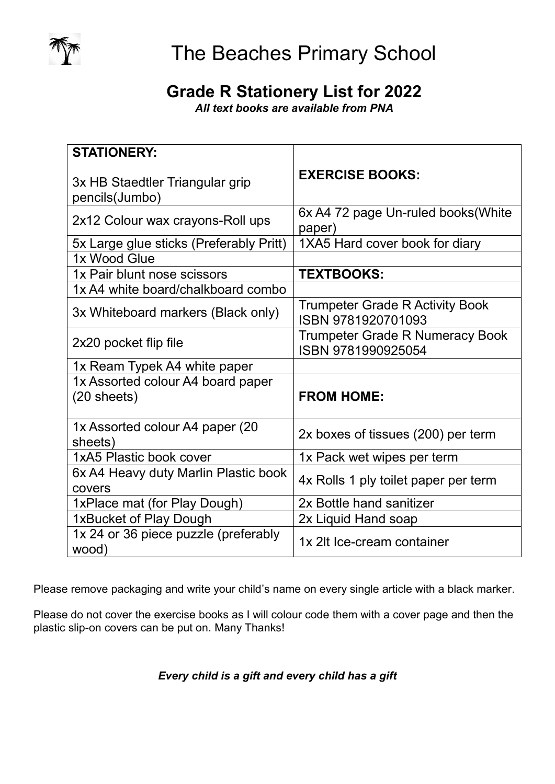

## **Grade R Stationery List for 2022**

*All text books are available from PNA*

| <b>STATIONERY:</b>                                |                                                              |
|---------------------------------------------------|--------------------------------------------------------------|
| 3x HB Staedtler Triangular grip<br>pencils(Jumbo) | <b>EXERCISE BOOKS:</b>                                       |
| 2x12 Colour wax crayons-Roll ups                  | 6x A4 72 page Un-ruled books (White<br>paper)                |
| 5x Large glue sticks (Preferably Pritt)           | 1XA5 Hard cover book for diary                               |
| 1x Wood Glue                                      |                                                              |
| 1x Pair blunt nose scissors                       | <b>TEXTBOOKS:</b>                                            |
| 1x A4 white board/chalkboard combo                |                                                              |
| 3x Whiteboard markers (Black only)                | <b>Trumpeter Grade R Activity Book</b><br>ISBN 9781920701093 |
| 2x20 pocket flip file                             | <b>Trumpeter Grade R Numeracy Book</b><br>ISBN 9781990925054 |
| 1x Ream Typek A4 white paper                      |                                                              |
| 1x Assorted colour A4 board paper                 |                                                              |
| $(20$ sheets)                                     | <b>FROM HOME:</b>                                            |
| 1x Assorted colour A4 paper (20)<br>sheets)       | 2x boxes of tissues (200) per term                           |
| 1xA5 Plastic book cover                           | 1x Pack wet wipes per term                                   |
| 6x A4 Heavy duty Marlin Plastic book<br>covers    | 4x Rolls 1 ply toilet paper per term                         |
| 1xPlace mat (for Play Dough)                      | 2x Bottle hand sanitizer                                     |
| 1xBucket of Play Dough                            | 2x Liquid Hand soap                                          |
| 1x 24 or 36 piece puzzle (preferably<br>wood)     | 1x 2lt Ice-cream container                                   |

Please remove packaging and write your child's name on every single article with a black marker.

Please do not cover the exercise books as I will colour code them with a cover page and then the plastic slip-on covers can be put on. Many Thanks!

### *Every child is a gift and every child has a gift*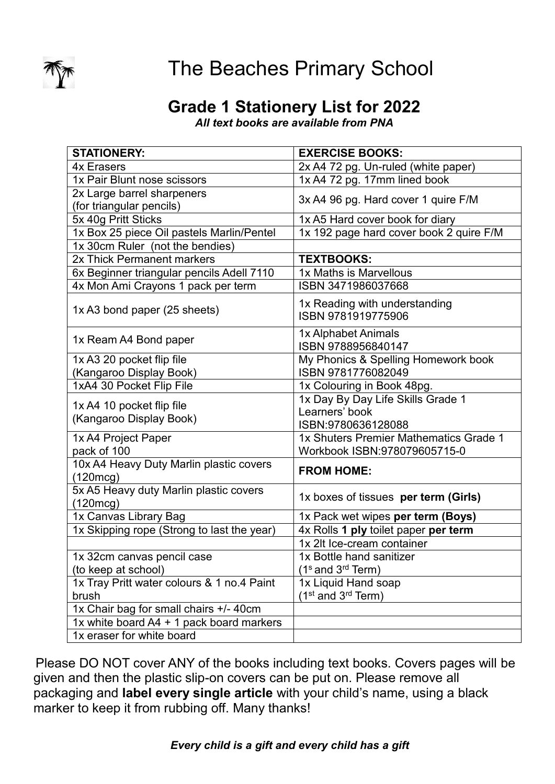

# The Beaches Primary School

## **Grade 1 Stationery List for 2022**

*All text books are available from PNA*

| <b>STATIONERY:</b>                                  | <b>EXERCISE BOOKS:</b>                              |
|-----------------------------------------------------|-----------------------------------------------------|
| <b>4x Erasers</b>                                   | 2x A4 72 pg. Un-ruled (white paper)                 |
| 1x Pair Blunt nose scissors                         | 1x A4 72 pg. 17mm lined book                        |
| 2x Large barrel sharpeners                          |                                                     |
| (for triangular pencils)                            | 3x A4 96 pg. Hard cover 1 quire F/M                 |
| 5x 40g Pritt Sticks                                 | 1x A5 Hard cover book for diary                     |
| 1x Box 25 piece Oil pastels Marlin/Pentel           | 1x 192 page hard cover book 2 quire F/M             |
| 1x 30cm Ruler (not the bendies)                     |                                                     |
| 2x Thick Permanent markers                          | <b>TEXTBOOKS:</b>                                   |
| 6x Beginner triangular pencils Adell 7110           | 1x Maths is Marvellous                              |
| 4x Mon Ami Crayons 1 pack per term                  | ISBN 3471986037668                                  |
| 1x A3 bond paper (25 sheets)                        | 1x Reading with understanding<br>ISBN 9781919775906 |
| 1x Ream A4 Bond paper                               | 1x Alphabet Animals<br>ISBN 9788956840147           |
| 1x A3 20 pocket flip file                           | My Phonics & Spelling Homework book                 |
| (Kangaroo Display Book)                             | ISBN 9781776082049                                  |
| 1xA4 30 Pocket Flip File                            | 1x Colouring in Book 48pg.                          |
| 1x A4 10 pocket flip file                           | 1x Day By Day Life Skills Grade 1                   |
| (Kangaroo Display Book)                             | Learners' book                                      |
|                                                     | ISBN:9780636128088                                  |
| 1x A4 Project Paper                                 | 1x Shuters Premier Mathematics Grade 1              |
| pack of 100                                         | Workbook ISBN:978079605715-0                        |
| 10x A4 Heavy Duty Marlin plastic covers<br>(120mcg) | <b>FROM HOME:</b>                                   |
| 5x A5 Heavy duty Marlin plastic covers<br>(120mcg)  | 1x boxes of tissues per term (Girls)                |
| 1x Canvas Library Bag                               | 1x Pack wet wipes per term (Boys)                   |
| 1x Skipping rope (Strong to last the year)          | 4x Rolls 1 ply toilet paper per term                |
|                                                     | 1x 2lt Ice-cream container                          |
| 1x 32cm canvas pencil case                          | 1x Bottle hand sanitizer                            |
| (to keep at school)                                 | $(1s$ and $3rd$ Term)                               |
| 1x Tray Pritt water colours & 1 no.4 Paint          | 1x Liquid Hand soap                                 |
| brush                                               | $(1st$ and $3rd$ Term)                              |
| 1x Chair bag for small chairs +/- 40cm              |                                                     |
| 1x white board A4 + 1 pack board markers            |                                                     |
| 1x eraser for white board                           |                                                     |

Please DO NOT cover ANY of the books including text books. Covers pages will be given and then the plastic slip-on covers can be put on. Please remove all packaging and **label every single article** with your child's name, using a black marker to keep it from rubbing off. Many thanks!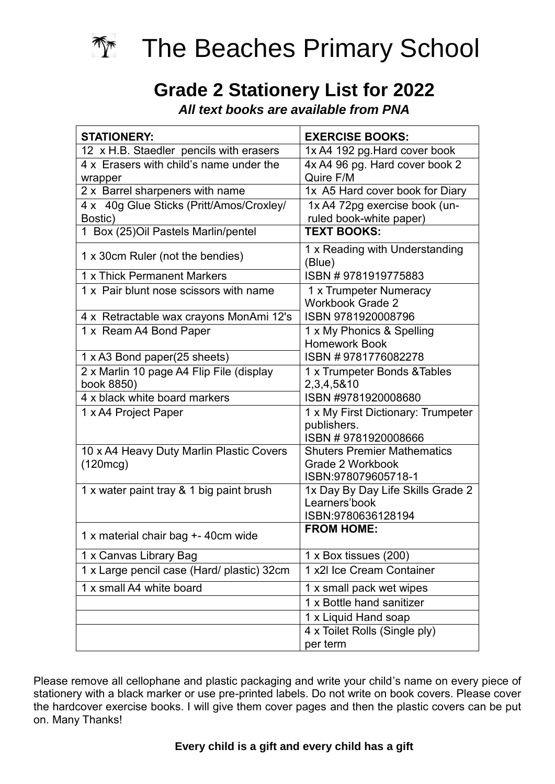

# **Grade 2 Stationery List for 2022**

*All text books are available from PNA*

| <b>STATIONERY:</b>                                     | <b>EXERCISE BOOKS:</b>                                                        |
|--------------------------------------------------------|-------------------------------------------------------------------------------|
| 12 x H.B. Staedler pencils with erasers                | 1x A4 192 pg. Hard cover book                                                 |
| 4 x Erasers with child's name under the<br>wrapper     | 4x A4 96 pg. Hard cover book 2<br>Quire F/M                                   |
| 2 x Barrel sharpeners with name                        | 1x A5 Hard cover book for Diary                                               |
| 4 x 40g Glue Sticks (Pritt/Amos/Croxley/<br>Bostic)    | 1x A4 72pg exercise book (un-<br>ruled book-white paper)                      |
| 1 Box (25) Oil Pastels Marlin/pentel                   | <b>TEXT BOOKS:</b>                                                            |
| 1 x 30cm Ruler (not the bendies)                       | 1 x Reading with Understanding<br>(Blue)                                      |
| 1 x Thick Permanent Markers                            | ISBN #9781919775883                                                           |
| 1 x Pair blunt nose scissors with name                 | 1 x Trumpeter Numeracy<br><b>Workbook Grade 2</b>                             |
| 4 x Retractable wax crayons MonAmi 12's                | ISBN 9781920008796                                                            |
| 1 x Ream A4 Bond Paper                                 | 1 x My Phonics & Spelling<br><b>Homework Book</b>                             |
| 1 x A3 Bond paper(25 sheets)                           | ISBN #9781776082278                                                           |
| 2 x Marlin 10 page A4 Flip File (display<br>book 8850) | 1 x Trumpeter Bonds & Tables<br>2,3,4,5&10                                    |
| 4 x black white board markers                          | ISBN #9781920008680                                                           |
| 1 x A4 Project Paper                                   | 1 x My First Dictionary: Trumpeter<br>publishers.<br>ISBN #9781920008666      |
| 10 x A4 Heavy Duty Marlin Plastic Covers<br>(120mcg)   | <b>Shuters Premier Mathematics</b><br>Grade 2 Workbook<br>ISBN:978079605718-1 |
| 1 x water paint tray & 1 big paint brush               | 1x Day By Day Life Skills Grade 2<br>Learners'book<br>ISBN:9780636128194      |
| 1 x material chair bag + 40cm wide                     | <b>FROM HOME:</b>                                                             |
| 1 x Canvas Library Bag                                 | 1 x Box tissues (200)                                                         |
| 1 x Large pencil case (Hard/ plastic) 32cm             | 1 x2l Ice Cream Container                                                     |
| 1 x small A4 white board                               | 1 x small pack wet wipes                                                      |
|                                                        | 1 x Bottle hand sanitizer                                                     |
|                                                        | 1 x Liquid Hand soap                                                          |
|                                                        | 4 x Toilet Rolls (Single ply)<br>per term                                     |

Please remove all cellophane and plastic packaging and write your child's name on every piece of stationery with a black marker or use pre-printed labels. Do not write on book covers. Please cover the hardcover exercise books. I will give them cover pages and then the plastic covers can be put on. Many Thanks!